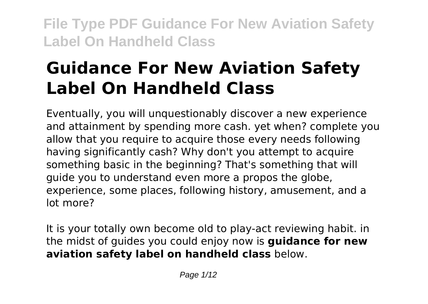# **Guidance For New Aviation Safety Label On Handheld Class**

Eventually, you will unquestionably discover a new experience and attainment by spending more cash. yet when? complete you allow that you require to acquire those every needs following having significantly cash? Why don't you attempt to acquire something basic in the beginning? That's something that will guide you to understand even more a propos the globe, experience, some places, following history, amusement, and a lot more?

It is your totally own become old to play-act reviewing habit. in the midst of guides you could enjoy now is **guidance for new aviation safety label on handheld class** below.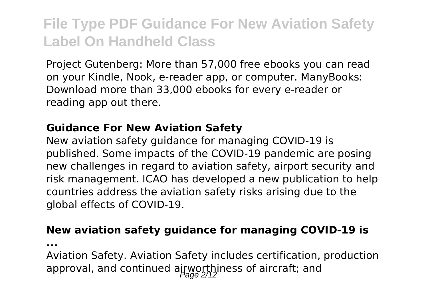Project Gutenberg: More than 57,000 free ebooks you can read on your Kindle, Nook, e-reader app, or computer. ManyBooks: Download more than 33,000 ebooks for every e-reader or reading app out there.

#### **Guidance For New Aviation Safety**

New aviation safety guidance for managing COVID-19 is published. Some impacts of the COVID-19 pandemic are posing new challenges in regard to aviation safety, airport security and risk management. ICAO has developed a new publication to help countries address the aviation safety risks arising due to the global effects of COVID-19.

#### **New aviation safety guidance for managing COVID-19 is**

**...**

Aviation Safety. Aviation Safety includes certification, production approval, and continued airworthiness of aircraft; and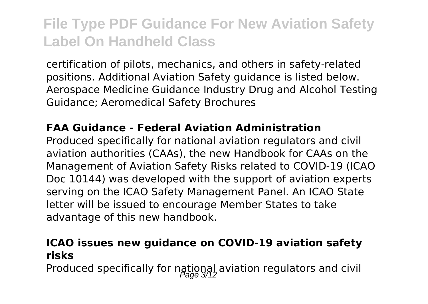certification of pilots, mechanics, and others in safety-related positions. Additional Aviation Safety guidance is listed below. Aerospace Medicine Guidance Industry Drug and Alcohol Testing Guidance; Aeromedical Safety Brochures

#### **FAA Guidance - Federal Aviation Administration**

Produced specifically for national aviation regulators and civil aviation authorities (CAAs), the new Handbook for CAAs on the Management of Aviation Safety Risks related to COVID-19 (ICAO Doc 10144) was developed with the support of aviation experts serving on the ICAO Safety Management Panel. An ICAO State letter will be issued to encourage Member States to take advantage of this new handbook.

#### **ICAO issues new guidance on COVID-19 aviation safety risks**

Produced specifically for national aviation regulators and civil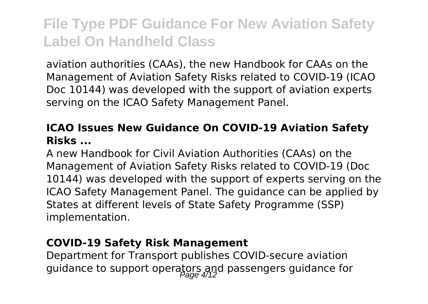aviation authorities (CAAs), the new Handbook for CAAs on the Management of Aviation Safety Risks related to COVID-19 (ICAO Doc 10144) was developed with the support of aviation experts serving on the ICAO Safety Management Panel.

### **ICAO Issues New Guidance On COVID-19 Aviation Safety Risks ...**

A new Handbook for Civil Aviation Authorities (CAAs) on the Management of Aviation Safety Risks related to COVID-19 (Doc 10144) was developed with the support of experts serving on the ICAO Safety Management Panel. The guidance can be applied by States at different levels of State Safety Programme (SSP) implementation.

#### **COVID-19 Safety Risk Management**

Department for Transport publishes COVID-secure aviation guidance to support operators and passengers guidance for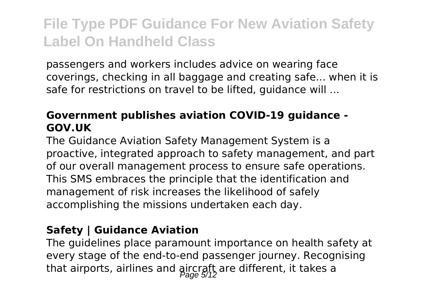passengers and workers includes advice on wearing face coverings, checking in all baggage and creating safe... when it is safe for restrictions on travel to be lifted, guidance will ...

### **Government publishes aviation COVID-19 guidance - GOV.UK**

The Guidance Aviation Safety Management System is a proactive, integrated approach to safety management, and part of our overall management process to ensure safe operations. This SMS embraces the principle that the identification and management of risk increases the likelihood of safely accomplishing the missions undertaken each day.

### **Safety | Guidance Aviation**

The guidelines place paramount importance on health safety at every stage of the end-to-end passenger journey. Recognising that airports, airlines and aircraft are different, it takes a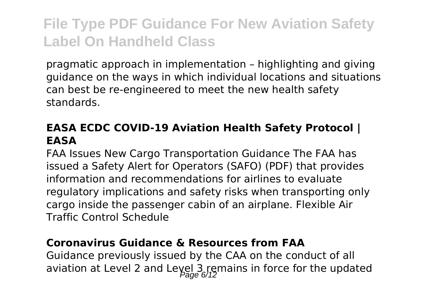pragmatic approach in implementation – highlighting and giving guidance on the ways in which individual locations and situations can best be re-engineered to meet the new health safety standards.

### **EASA ECDC COVID-19 Aviation Health Safety Protocol | EASA**

FAA Issues New Cargo Transportation Guidance The FAA has issued a Safety Alert for Operators (SAFO) (PDF) that provides information and recommendations for airlines to evaluate regulatory implications and safety risks when transporting only cargo inside the passenger cabin of an airplane. Flexible Air Traffic Control Schedule

#### **Coronavirus Guidance & Resources from FAA**

Guidance previously issued by the CAA on the conduct of all aviation at Level 2 and Level 3 remains in force for the updated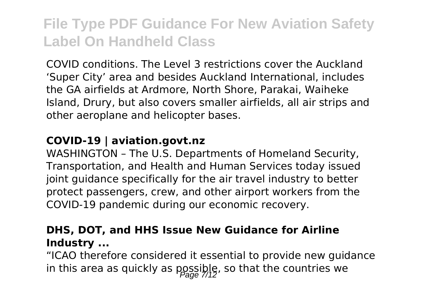COVID conditions. The Level 3 restrictions cover the Auckland 'Super City' area and besides Auckland International, includes the GA airfields at Ardmore, North Shore, Parakai, Waiheke Island, Drury, but also covers smaller airfields, all air strips and other aeroplane and helicopter bases.

#### **COVID-19 | aviation.govt.nz**

WASHINGTON – The U.S. Departments of Homeland Security, Transportation, and Health and Human Services today issued joint guidance specifically for the air travel industry to better protect passengers, crew, and other airport workers from the COVID-19 pandemic during our economic recovery.

#### **DHS, DOT, and HHS Issue New Guidance for Airline Industry ...**

"ICAO therefore considered it essential to provide new guidance in this area as quickly as  $\text{p}_\text{max}(\hat{p}_\text{max})$ , so that the countries we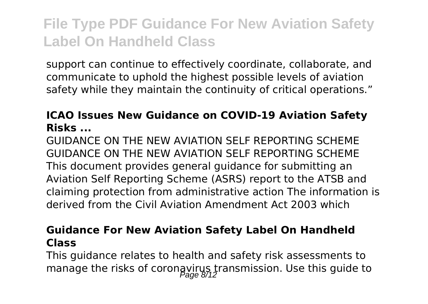support can continue to effectively coordinate, collaborate, and communicate to uphold the highest possible levels of aviation safety while they maintain the continuity of critical operations."

### **ICAO Issues New Guidance on COVID-19 Aviation Safety Risks ...**

GUIDANCE ON THE NEW AVIATION SELF REPORTING SCHEME GUIDANCE ON THE NEW AVIATION SELF REPORTING SCHEME This document provides general guidance for submitting an Aviation Self Reporting Scheme (ASRS) report to the ATSB and claiming protection from administrative action The information is derived from the Civil Aviation Amendment Act 2003 which

#### **Guidance For New Aviation Safety Label On Handheld Class**

This guidance relates to health and safety risk assessments to manage the risks of coronavirus transmission. Use this guide to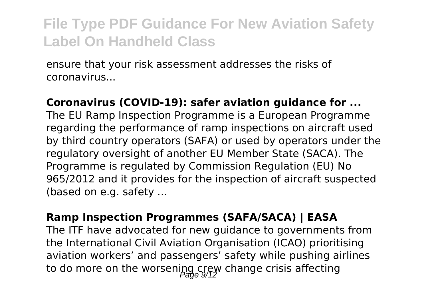ensure that your risk assessment addresses the risks of coronavirus...

#### **Coronavirus (COVID-19): safer aviation guidance for ...**

The EU Ramp Inspection Programme is a European Programme regarding the performance of ramp inspections on aircraft used by third country operators (SAFA) or used by operators under the regulatory oversight of another EU Member State (SACA). The Programme is regulated by Commission Regulation (EU) No 965/2012 and it provides for the inspection of aircraft suspected (based on e.g. safety ...

#### **Ramp Inspection Programmes (SAFA/SACA) | EASA**

The ITF have advocated for new guidance to governments from the International Civil Aviation Organisation (ICAO) prioritising aviation workers' and passengers' safety while pushing airlines to do more on the worsening crew change crisis affecting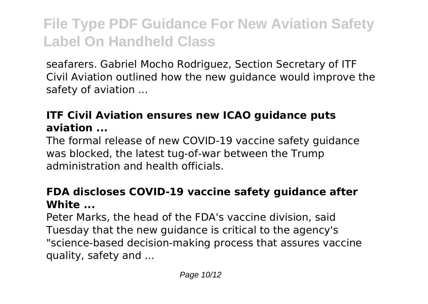seafarers. Gabriel Mocho Rodriguez, Section Secretary of ITF Civil Aviation outlined how the new guidance would improve the safety of aviation ...

### **ITF Civil Aviation ensures new ICAO guidance puts aviation ...**

The formal release of new COVID-19 vaccine safety guidance was blocked, the latest tug-of-war between the Trump administration and health officials.

### **FDA discloses COVID-19 vaccine safety guidance after White ...**

Peter Marks, the head of the FDA's vaccine division, said Tuesday that the new guidance is critical to the agency's "science-based decision-making process that assures vaccine quality, safety and ...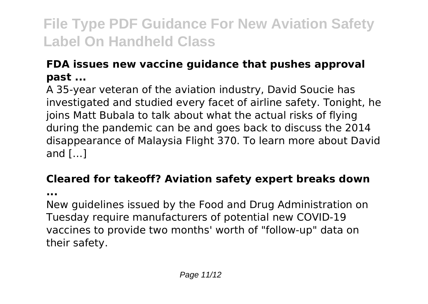### **FDA issues new vaccine guidance that pushes approval past ...**

A 35-year veteran of the aviation industry, David Soucie has investigated and studied every facet of airline safety. Tonight, he joins Matt Bubala to talk about what the actual risks of flying during the pandemic can be and goes back to discuss the 2014 disappearance of Malaysia Flight 370. To learn more about David and […]

### **Cleared for takeoff? Aviation safety expert breaks down**

**...**

New guidelines issued by the Food and Drug Administration on Tuesday require manufacturers of potential new COVID-19 vaccines to provide two months' worth of "follow-up" data on their safety.